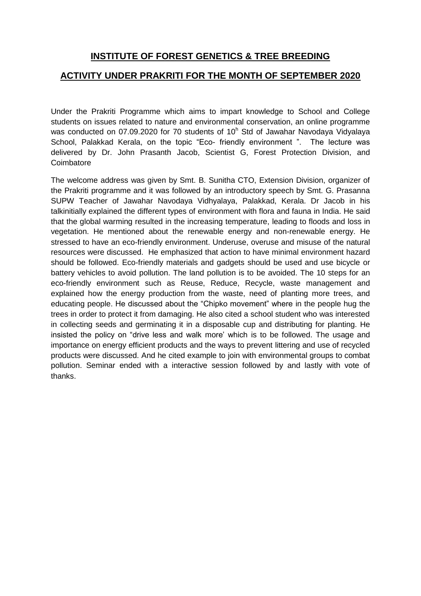## **INSTITUTE OF FOREST GENETICS & TREE BREEDING**

## **ACTIVITY UNDER PRAKRITI FOR THE MONTH OF SEPTEMBER 2020**

Under the Prakriti Programme which aims to impart knowledge to School and College students on issues related to nature and environmental conservation, an online programme was conducted on 07.09.2020 for 70 students of  $10<sup>h</sup>$  Std of Jawahar Navodaya Vidyalaya School, Palakkad Kerala, on the topic "Eco- friendly environment ". The lecture was delivered by Dr. John Prasanth Jacob, Scientist G, Forest Protection Division, and **Coimbatore** 

The welcome address was given by Smt. B. Sunitha CTO, Extension Division, organizer of the Prakriti programme and it was followed by an introductory speech by Smt. G. Prasanna SUPW Teacher of Jawahar Navodaya Vidhyalaya, Palakkad, Kerala. Dr Jacob in his talkinitially explained the different types of environment with flora and fauna in India. He said that the global warming resulted in the increasing temperature, leading to floods and loss in vegetation. He mentioned about the renewable energy and non-renewable energy. He stressed to have an eco-friendly environment. Underuse, overuse and misuse of the natural resources were discussed. He emphasized that action to have minimal environment hazard should be followed. Eco-friendly materials and gadgets should be used and use bicycle or battery vehicles to avoid pollution. The land pollution is to be avoided. The 10 steps for an eco-friendly environment such as Reuse, Reduce, Recycle, waste management and explained how the energy production from the waste, need of planting more trees, and educating people. He discussed about the "Chipko movement" where in the people hug the trees in order to protect it from damaging. He also cited a school student who was interested in collecting seeds and germinating it in a disposable cup and distributing for planting. He insisted the policy on "drive less and walk more' which is to be followed. The usage and importance on energy efficient products and the ways to prevent littering and use of recycled products were discussed. And he cited example to join with environmental groups to combat pollution. Seminar ended with a interactive session followed by and lastly with vote of thanks.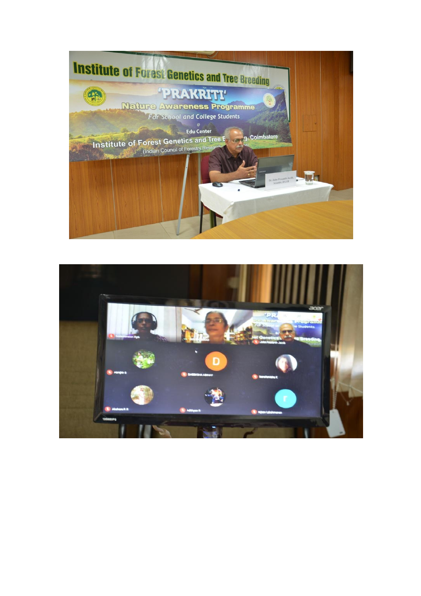